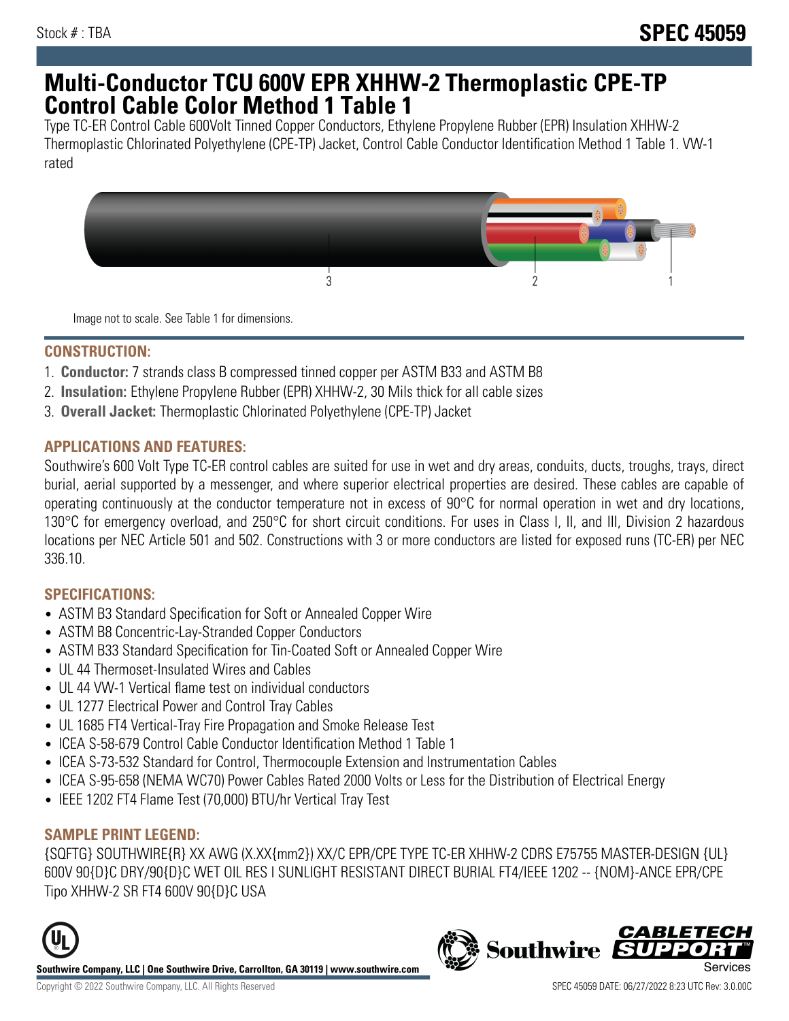# **Multi-Conductor TCU 600V EPR XHHW-2 Thermoplastic CPE-TP Control Cable Color Method 1 Table 1**

Type TC-ER Control Cable 600Volt Tinned Copper Conductors, Ethylene Propylene Rubber (EPR) Insulation XHHW-2 Thermoplastic Chlorinated Polyethylene (CPE-TP) Jacket, Control Cable Conductor Identification Method 1 Table 1. VW-1 rated



Image not to scale. See Table 1 for dimensions.

#### **CONSTRUCTION:**

- 1. **Conductor:** 7 strands class B compressed tinned copper per ASTM B33 and ASTM B8
- 2. **Insulation:** Ethylene Propylene Rubber (EPR) XHHW-2, 30 Mils thick for all cable sizes
- 3. **Overall Jacket:** Thermoplastic Chlorinated Polyethylene (CPE-TP) Jacket

### **APPLICATIONS AND FEATURES:**

Southwire's 600 Volt Type TC-ER control cables are suited for use in wet and dry areas, conduits, ducts, troughs, trays, direct burial, aerial supported by a messenger, and where superior electrical properties are desired. These cables are capable of operating continuously at the conductor temperature not in excess of 90°C for normal operation in wet and dry locations, 130°C for emergency overload, and 250°C for short circuit conditions. For uses in Class I, II, and III, Division 2 hazardous locations per NEC Article 501 and 502. Constructions with 3 or more conductors are listed for exposed runs (TC-ER) per NEC 336.10.

# **SPECIFICATIONS:**

- ASTM B3 Standard Specification for Soft or Annealed Copper Wire
- ASTM B8 Concentric-Lay-Stranded Copper Conductors
- ASTM B33 Standard Specification for Tin-Coated Soft or Annealed Copper Wire
- UL 44 Thermoset-Insulated Wires and Cables
- UL 44 VW-1 Vertical flame test on individual conductors
- UL 1277 Electrical Power and Control Tray Cables
- UL 1685 FT4 Vertical-Tray Fire Propagation and Smoke Release Test
- ICEA S-58-679 Control Cable Conductor Identification Method 1 Table 1
- ICEA S-73-532 Standard for Control, Thermocouple Extension and Instrumentation Cables
- ICEA S-95-658 (NEMA WC70) Power Cables Rated 2000 Volts or Less for the Distribution of Electrical Energy
- IEEE 1202 FT4 Flame Test (70,000) BTU/hr Vertical Tray Test

# **SAMPLE PRINT LEGEND:**

{SQFTG} SOUTHWIRE{R} XX AWG (X.XX{mm2}) XX/C EPR/CPE TYPE TC-ER XHHW-2 CDRS E75755 MASTER-DESIGN {UL} 600V 90{D}C DRY/90{D}C WET OIL RES I SUNLIGHT RESISTANT DIRECT BURIAL FT4/IEEE 1202 -- {NOM}-ANCE EPR/CPE Tipo XHHW-2 SR FT4 600V 90{D}C USA



**Southwire Company, LLC | One Southwire Drive, Carrollton, GA 30119 | www.southwire.com**